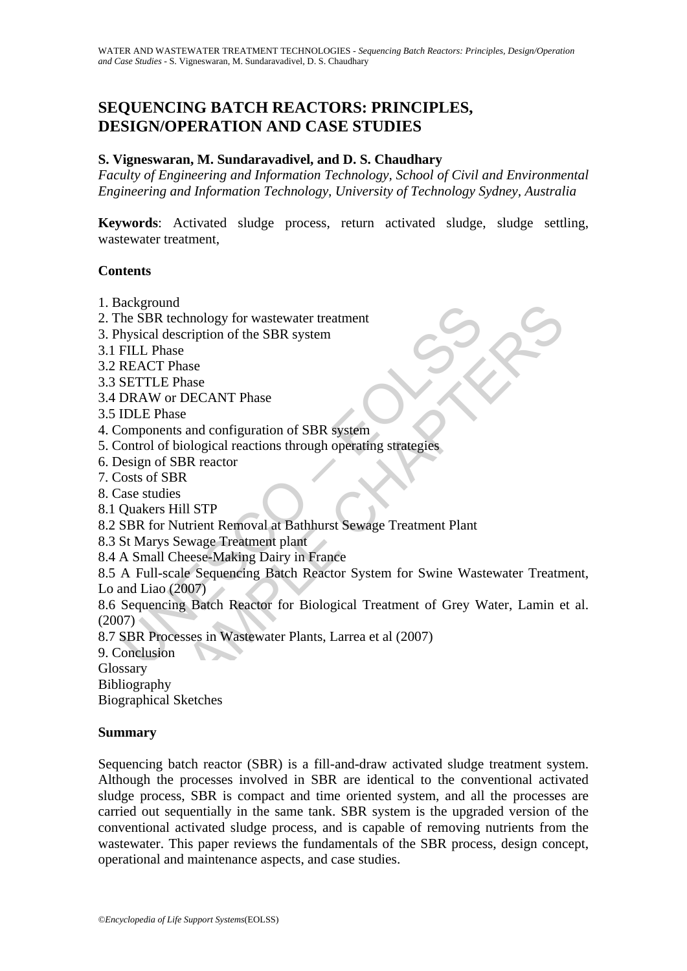# **SEQUENCING BATCH REACTORS: PRINCIPLES, DESIGN/OPERATION AND CASE STUDIES**

### **S. Vigneswaran, M. Sundaravadivel, and D. S. Chaudhary**

*Faculty of Engineering and Information Technology, School of Civil and Environmental Engineering and Information Technology, University of Technology Sydney, Australia* 

**Keywords**: Activated sludge process, return activated sludge, sludge settling, wastewater treatment,

#### **Contents**

- 1. Background
- 2. The SBR technology for wastewater treatment
- 3. Physical description of the SBR system
- 3.1 FILL Phase
- 3.2 REACT Phase
- 3.3 SETTLE Phase
- 3.4 DRAW or DECANT Phase

3.5 IDLE Phase

- 4. Components and configuration of SBR system
- 5. Control of biological reactions through operating strategies
- 6. Design of SBR reactor
- 7. Costs of SBR
- 8. Case studies
- 8.1 Quakers Hill STP
- 8.2 SBR for Nutrient Removal at Bathhurst Sewage Treatment Plant
- 8.3 St Marys Sewage Treatment plant

8.4 A Small Cheese-Making Dairy in France

Exploring<br>
The SBR technology for wastewater treatment<br>
hysical description of the SBR system<br>
FILL Phase<br>
REACT Phase<br>
REACT Phase<br>
IDLE Phase<br>
IDLE Phase<br>
IDLE Phase<br>
IDLE Phase<br>
IDLE Phase<br>
IDLE Phase<br>
IDLE Phase<br>
ISDE und<br>
Rechnology for wastewater treatment<br>
description of the SBR system<br>
hase<br>
E Phase<br>
E Phase<br>
E Phase<br>
E Phase<br>
E Phase<br>
E Phase<br>
E Phase<br>
E Phase<br>
Discreption of SBR system<br>
of biological reactions through operating st 8.5 A Full-scale Sequencing Batch Reactor System for Swine Wastewater Treatment, Lo and Liao (2007)

8.6 Sequencing Batch Reactor for Biological Treatment of Grey Water, Lamin et al.  $(2007)$ 

8.7 SBR Processes in Wastewater Plants, Larrea et al (2007)

9. Conclusion

Glossary

Bibliography

Biographical Sketches

#### **Summary**

Sequencing batch reactor (SBR) is a fill-and-draw activated sludge treatment system. Although the processes involved in SBR are identical to the conventional activated sludge process, SBR is compact and time oriented system, and all the processes are carried out sequentially in the same tank. SBR system is the upgraded version of the conventional activated sludge process, and is capable of removing nutrients from the wastewater. This paper reviews the fundamentals of the SBR process, design concept, operational and maintenance aspects, and case studies.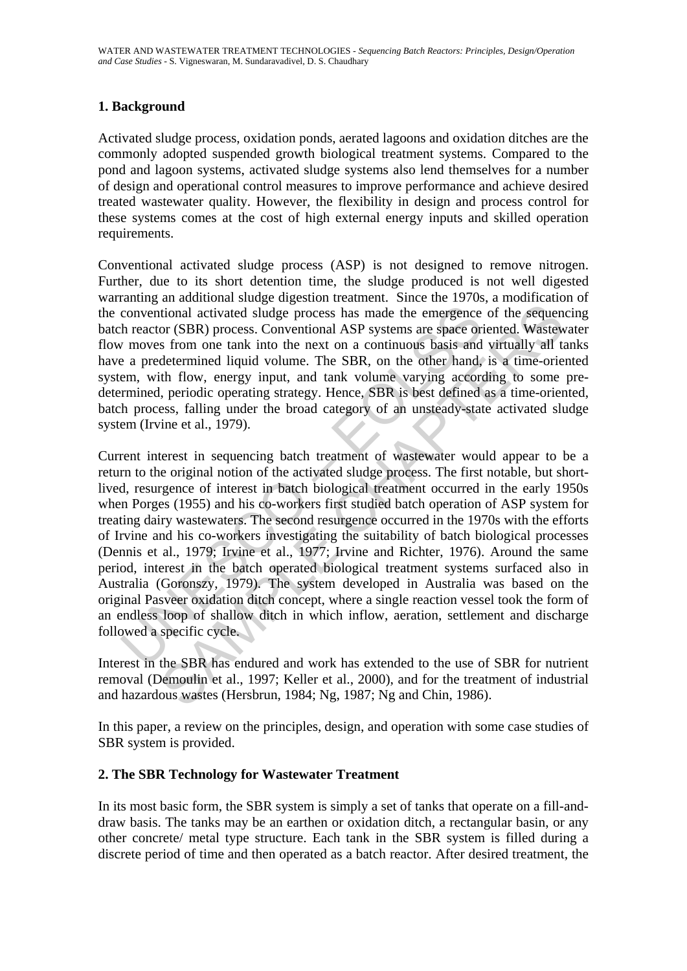# **1. Background**

Activated sludge process, oxidation ponds, aerated lagoons and oxidation ditches are the commonly adopted suspended growth biological treatment systems. Compared to the pond and lagoon systems, activated sludge systems also lend themselves for a number of design and operational control measures to improve performance and achieve desired treated wastewater quality. However, the flexibility in design and process control for these systems comes at the cost of high external energy inputs and skilled operation requirements.

Conventional activated sludge process (ASP) is not designed to remove nitrogen. Further, due to its short detention time, the sludge produced is not well digested warranting an additional sludge digestion treatment. Since the 1970s, a modification of the conventional activated sludge process has made the emergence of the sequencing batch reactor (SBR) process. Conventional ASP systems are space oriented. Wastewater flow moves from one tank into the next on a continuous basis and virtually all tanks have a predetermined liquid volume. The SBR, on the other hand, is a time-oriented system, with flow, energy input, and tank volume varying according to some predetermined, periodic operating strategy. Hence, SBR is best defined as a time-oriented, batch process, falling under the broad category of an unsteady-state activated sludge system (Irvine et al., 1979).

conventional activated sludge process has made the emergence<br>h reactor (SBR) process. Conventional ASP systems are space or<br>*i* moves from one tank into the next on a continuous basis and<br>e a predetermined liquid volume. T itional activated sludge process has made the emergence of the sequent or (SBR) process. Conventional ASP systems are space oriented. Wastev sfrom one tank into the next on a continuous basis and virtually all the determin Current interest in sequencing batch treatment of wastewater would appear to be a return to the original notion of the activated sludge process. The first notable, but shortlived, resurgence of interest in batch biological treatment occurred in the early 1950s when Porges (1955) and his co-workers first studied batch operation of ASP system for treating dairy wastewaters. The second resurgence occurred in the 1970s with the efforts of Irvine and his co-workers investigating the suitability of batch biological processes (Dennis et al., 1979; Irvine et al., 1977; Irvine and Richter, 1976). Around the same period, interest in the batch operated biological treatment systems surfaced also in Australia (Goronszy, 1979). The system developed in Australia was based on the original Pasveer oxidation ditch concept, where a single reaction vessel took the form of an endless loop of shallow ditch in which inflow, aeration, settlement and discharge followed a specific cycle.

Interest in the SBR has endured and work has extended to the use of SBR for nutrient removal (Demoulin et al., 1997; Keller et al., 2000), and for the treatment of industrial and hazardous wastes (Hersbrun, 1984; Ng, 1987; Ng and Chin, 1986).

In this paper, a review on the principles, design, and operation with some case studies of SBR system is provided.

#### **2. The SBR Technology for Wastewater Treatment**

In its most basic form, the SBR system is simply a set of tanks that operate on a fill-anddraw basis. The tanks may be an earthen or oxidation ditch, a rectangular basin, or any other concrete/ metal type structure. Each tank in the SBR system is filled during a discrete period of time and then operated as a batch reactor. After desired treatment, the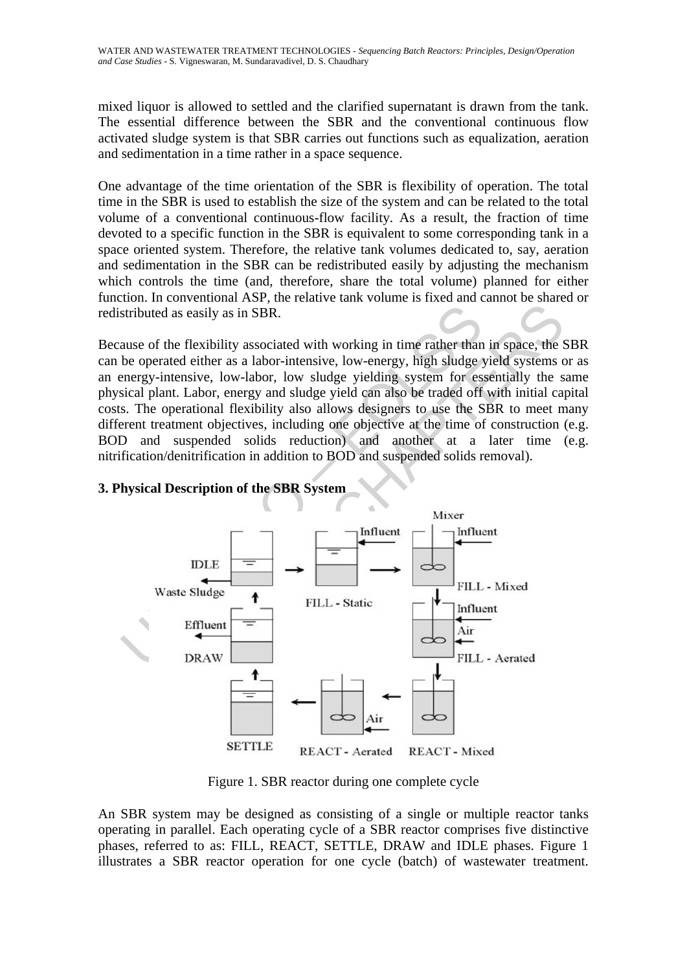mixed liquor is allowed to settled and the clarified supernatant is drawn from the tank. The essential difference between the SBR and the conventional continuous flow activated sludge system is that SBR carries out functions such as equalization, aeration and sedimentation in a time rather in a space sequence.

One advantage of the time orientation of the SBR is flexibility of operation. The total time in the SBR is used to establish the size of the system and can be related to the total volume of a conventional continuous-flow facility. As a result, the fraction of time devoted to a specific function in the SBR is equivalent to some corresponding tank in a space oriented system. Therefore, the relative tank volumes dedicated to, say, aeration and sedimentation in the SBR can be redistributed easily by adjusting the mechanism which controls the time (and, therefore, share the total volume) planned for either function. In conventional ASP, the relative tank volume is fixed and cannot be shared or redistributed as easily as in SBR.

Because of the flexibility associated with working in time rather than in space, the SBR can be operated either as a labor-intensive, low-energy, high sludge yield systems or as an energy-intensive, low-labor, low sludge yielding system for essentially the same physical plant. Labor, energy and sludge yield can also be traded off with initial capital costs. The operational flexibility also allows designers to use the SBR to meet many different treatment objectives, including one objective at the time of construction (e.g. BOD and suspended solids reduction) and another at a later time (e.g. nitrification/denitrification in addition to BOD and suspended solids removal).



# **3. Physical Description of the SBR System**

Figure 1. SBR reactor during one complete cycle

An SBR system may be designed as consisting of a single or multiple reactor tanks operating in parallel. Each operating cycle of a SBR reactor comprises five distinctive phases, referred to as: FILL, REACT, SETTLE, DRAW and IDLE phases. Figure 1 illustrates a SBR reactor operation for one cycle (batch) of wastewater treatment.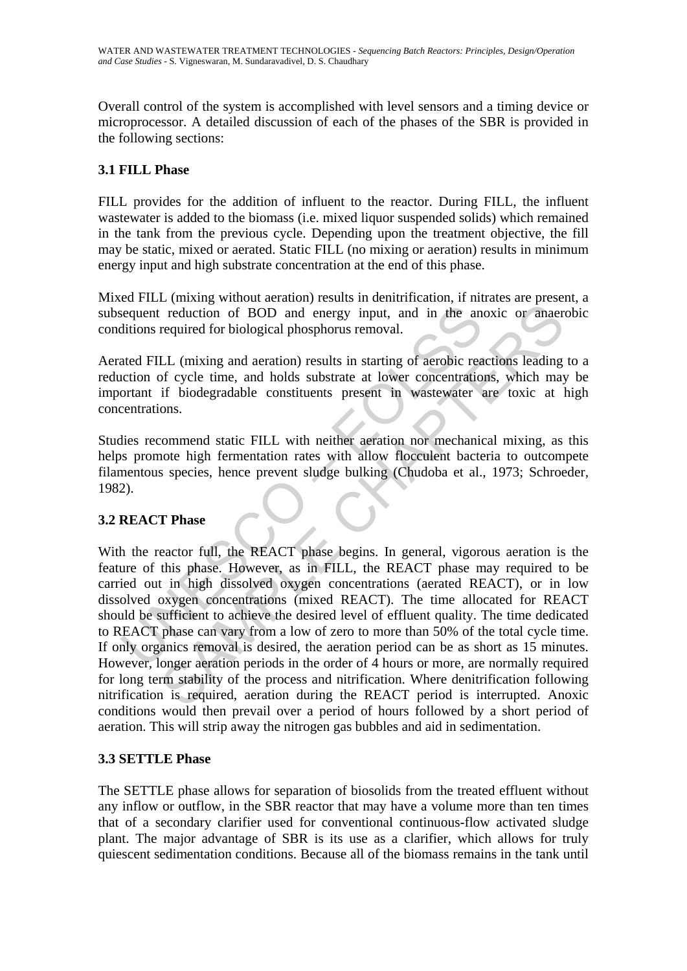Overall control of the system is accomplished with level sensors and a timing device or microprocessor. A detailed discussion of each of the phases of the SBR is provided in the following sections:

# **3.1 FILL Phase**

FILL provides for the addition of influent to the reactor. During FILL, the influent wastewater is added to the biomass (i.e. mixed liquor suspended solids) which remained in the tank from the previous cycle. Depending upon the treatment objective, the fill may be static, mixed or aerated. Static FILL (no mixing or aeration) results in minimum energy input and high substrate concentration at the end of this phase.

Mixed FILL (mixing without aeration) results in denitrification, if nitrates are present, a subsequent reduction of BOD and energy input, and in the anoxic or anaerobic conditions required for biological phosphorus removal.

Aerated FILL (mixing and aeration) results in starting of aerobic reactions leading to a reduction of cycle time, and holds substrate at lower concentrations, which may be important if biodegradable constituents present in wastewater are toxic at high concentrations.

Studies recommend static FILL with neither aeration nor mechanical mixing, as this helps promote high fermentation rates with allow flocculent bacteria to outcompete filamentous species, hence prevent sludge bulking (Chudoba et al., 1973; Schroeder, 1982).

# **3.2 REACT Phase**

Exercuent reduction of BOD and energy input, and in the and<br>ditions required for biological phosphorus removal.<br>ated FILL (mixing and aeration) results in starting of aerobic reaction<br>order of cycle time, and holds substra reduction of BOD and energy input, and in the anoxic or anaer<br>required for biological phosphorus removal.<br>LL (mixing and aeration) results in starting of aerobic reactions leading<br>of cycle time, and holds substrate at lowe With the reactor full, the REACT phase begins. In general, vigorous aeration is the feature of this phase. However, as in FILL, the REACT phase may required to be carried out in high dissolved oxygen concentrations (aerated REACT), or in low dissolved oxygen concentrations (mixed REACT). The time allocated for REACT should be sufficient to achieve the desired level of effluent quality. The time dedicated to REACT phase can vary from a low of zero to more than 50% of the total cycle time. If only organics removal is desired, the aeration period can be as short as 15 minutes. However, longer aeration periods in the order of 4 hours or more, are normally required for long term stability of the process and nitrification. Where denitrification following nitrification is required, aeration during the REACT period is interrupted. Anoxic conditions would then prevail over a period of hours followed by a short period of aeration. This will strip away the nitrogen gas bubbles and aid in sedimentation.

## **3.3 SETTLE Phase**

The SETTLE phase allows for separation of biosolids from the treated effluent without any inflow or outflow, in the SBR reactor that may have a volume more than ten times that of a secondary clarifier used for conventional continuous-flow activated sludge plant. The major advantage of SBR is its use as a clarifier, which allows for truly quiescent sedimentation conditions. Because all of the biomass remains in the tank until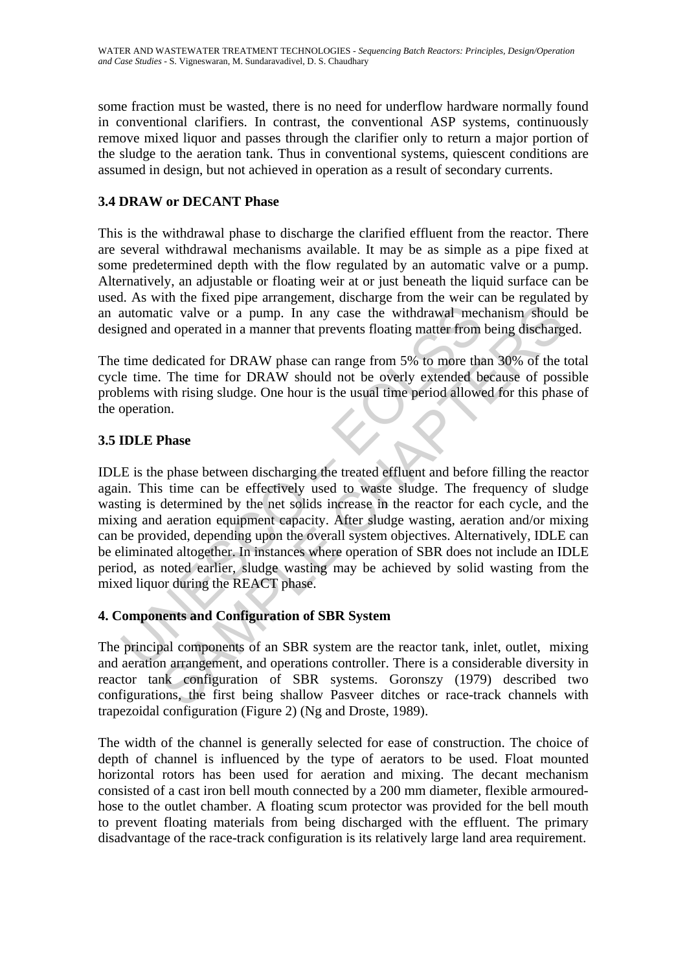some fraction must be wasted, there is no need for underflow hardware normally found in conventional clarifiers. In contrast, the conventional ASP systems, continuously remove mixed liquor and passes through the clarifier only to return a major portion of the sludge to the aeration tank. Thus in conventional systems, quiescent conditions are assumed in design, but not achieved in operation as a result of secondary currents.

# **3.4 DRAW or DECANT Phase**

This is the withdrawal phase to discharge the clarified effluent from the reactor. There are several withdrawal mechanisms available. It may be as simple as a pipe fixed at some predetermined depth with the flow regulated by an automatic valve or a pump. Alternatively, an adjustable or floating weir at or just beneath the liquid surface can be used. As with the fixed pipe arrangement, discharge from the weir can be regulated by an automatic valve or a pump. In any case the withdrawal mechanism should be designed and operated in a manner that prevents floating matter from being discharged.

The time dedicated for DRAW phase can range from 5% to more than 30% of the total cycle time. The time for DRAW should not be overly extended because of possible problems with rising sludge. One hour is the usual time period allowed for this phase of the operation.

## **3.5 IDLE Phase**

automatic valve or a pump. In any case the withdrawal mecanod and operated in a manner that prevents floating matter from<br>time dedicated for DRAW phase can range from 5% to more the<br>te time. The time for DRAW should not be it valve or a pump. In any case the withdrawal mechanism should<br>tic valve or a pump. In any case the withdrawal mechanism should<br>doperated in a manner that prevents floating matter from being discharg<br>edicated for DRAW pha IDLE is the phase between discharging the treated effluent and before filling the reactor again. This time can be effectively used to waste sludge. The frequency of sludge wasting is determined by the net solids increase in the reactor for each cycle, and the mixing and aeration equipment capacity. After sludge wasting, aeration and/or mixing can be provided, depending upon the overall system objectives. Alternatively, IDLE can be eliminated altogether. In instances where operation of SBR does not include an IDLE period, as noted earlier, sludge wasting may be achieved by solid wasting from the mixed liquor during the REACT phase.

## **4. Components and Configuration of SBR System**

The principal components of an SBR system are the reactor tank, inlet, outlet, mixing and aeration arrangement, and operations controller. There is a considerable diversity in reactor tank configuration of SBR systems. Goronszy (1979) described two configurations, the first being shallow Pasveer ditches or race-track channels with trapezoidal configuration (Figure 2) (Ng and Droste, 1989).

The width of the channel is generally selected for ease of construction. The choice of depth of channel is influenced by the type of aerators to be used. Float mounted horizontal rotors has been used for aeration and mixing. The decant mechanism consisted of a cast iron bell mouth connected by a 200 mm diameter, flexible armouredhose to the outlet chamber. A floating scum protector was provided for the bell mouth to prevent floating materials from being discharged with the effluent. The primary disadvantage of the race-track configuration is its relatively large land area requirement.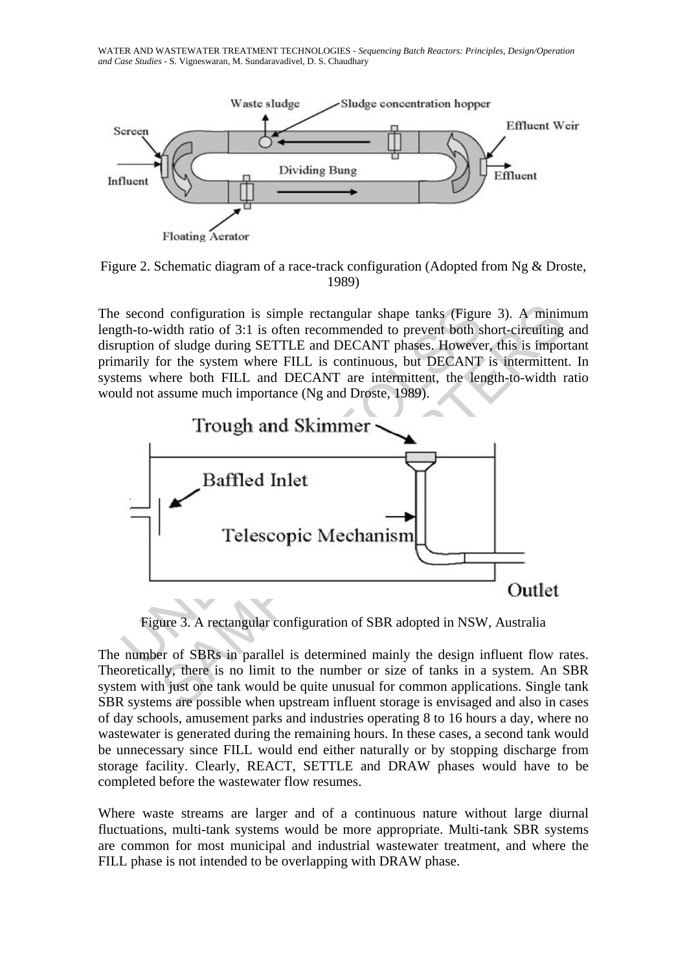WATER AND WASTEWATER TREATMENT TECHNOLOGIES - *Sequencing Batch Reactors: Principles, Design/Operation and Case Studies* - S. Vigneswaran, M. Sundaravadivel, D. S. Chaudhary



Figure 2. Schematic diagram of a race-track configuration (Adopted from Ng & Droste, 1989)

The second configuration is simple rectangular shape tanks (Figure 3). A minimum length-to-width ratio of 3:1 is often recommended to prevent both short-circuiting and disruption of sludge during SETTLE and DECANT phases. However, this is important primarily for the system where FILL is continuous, but DECANT is intermittent. In systems where both FILL and DECANT are intermittent, the length-to-width ratio would not assume much importance (Ng and Droste, 1989).



Figure 3. A rectangular configuration of SBR adopted in NSW, Australia

The number of SBRs in parallel is determined mainly the design influent flow rates. Theoretically, there is no limit to the number or size of tanks in a system. An SBR system with just one tank would be quite unusual for common applications. Single tank SBR systems are possible when upstream influent storage is envisaged and also in cases of day schools, amusement parks and industries operating 8 to 16 hours a day, where no wastewater is generated during the remaining hours. In these cases, a second tank would be unnecessary since FILL would end either naturally or by stopping discharge from storage facility. Clearly, REACT, SETTLE and DRAW phases would have to be completed before the wastewater flow resumes.

Where waste streams are larger and of a continuous nature without large diurnal fluctuations, multi-tank systems would be more appropriate. Multi-tank SBR systems are common for most municipal and industrial wastewater treatment, and where the FILL phase is not intended to be overlapping with DRAW phase.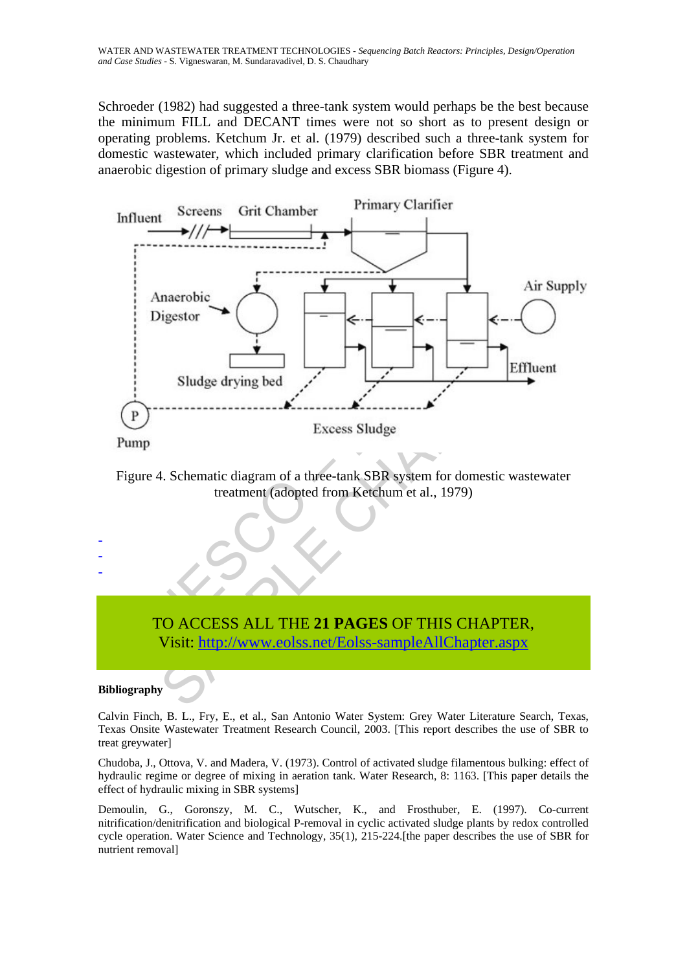Schroeder (1982) had suggested a three-tank system would perhaps be the best because the minimum FILL and DECANT times were not so short as to present design or operating problems. Ketchum Jr. et al. (1979) described such a three-tank system for domestic wastewater, which included primary clarification before SBR treatment and anaerobic digestion of primary sludge and excess SBR biomass (Figure 4).



Figure 4. Schematic diagram of a three-tank SBR system for domestic wastewater treatment (adopted from Ketchum et al., 1979)

# TO ACCESS ALL THE **21 PAGES** OF THIS CHAPTER, Visit: http://www.eolss.net/Eolss-sampleAllChapter.aspx

**Bibliography** 

- - -

Calvin Finch, B. L., Fry, E., et al., San Antonio Water System: Grey Water Literature Search, Texas, Texas Onsite Wastewater Treatment Research Council, 2003. [This report describes the use of SBR to treat greywater]

Chudoba, J., Ottova, V. and Madera, V. (1973). Control of activated sludge filamentous bulking: effect of hydraulic regime or degree of mixing in aeration tank. Water Research, 8: 1163. [This paper details the effect of hydraulic mixing in SBR systems]

Demoulin, G., Goronszy, M. C., Wutscher, K., and Frosthuber, E. (1997). Co-current nitrification/denitrification and biological P-removal in cyclic activated sludge plants by redox controlled cycle operation. Water Science and Technology, 35(1), 215-224.[the paper describes the use of SBR for nutrient removal]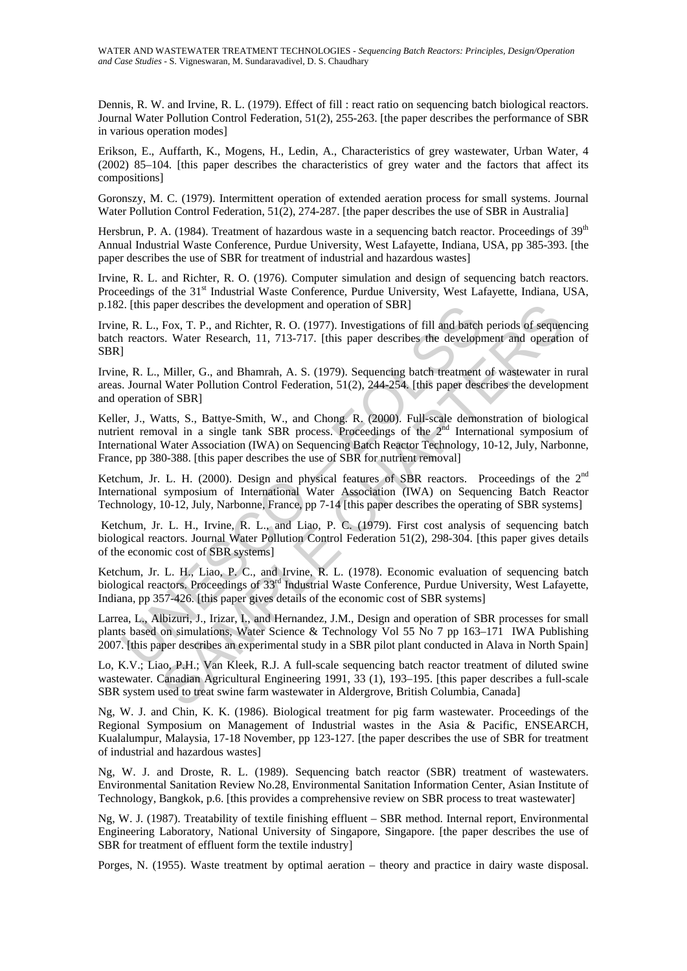Dennis, R. W. and Irvine, R. L. (1979). Effect of fill : react ratio on sequencing batch biological reactors. Journal Water Pollution Control Federation, 51(2), 255-263. [the paper describes the performance of SBR in various operation modes]

Erikson, E., Auffarth, K., Mogens, H., Ledin, A., Characteristics of grey wastewater, Urban Water, 4 (2002) 85–104. [this paper describes the characteristics of grey water and the factors that affect its compositions]

Goronszy, M. C. (1979). Intermittent operation of extended aeration process for small systems. Journal Water Pollution Control Federation, 51(2), 274-287. [the paper describes the use of SBR in Australia]

Hersbrun, P. A. (1984). Treatment of hazardous waste in a sequencing batch reactor. Proceedings of 39<sup>th</sup> Annual Industrial Waste Conference, Purdue University, West Lafayette, Indiana, USA, pp 385-393. [the paper describes the use of SBR for treatment of industrial and hazardous wastes]

Irvine, R. L. and Richter, R. O. (1976). Computer simulation and design of sequencing batch reactors. Proceedings of the 31<sup>st</sup> Industrial Waste Conference, Purdue University, West Lafayette, Indiana, USA, p.182. [this paper describes the development and operation of SBR]

Irvine, R. L., Fox, T. P., and Richter, R. O. (1977). Investigations of fill and batch periods of sequencing batch reactors. Water Research, 11, 713-717. [this paper describes the development and operation of SBR]

Irvine, R. L., Miller, G., and Bhamrah, A. S. (1979). Sequencing batch treatment of wastewater in rural areas. Journal Water Pollution Control Federation, 51(2), 244-254. [this paper describes the development and operation of SBR]

2. [this paper describes the development and operation of SBR]<br>
e, R. L., Fox, T. P., and Richter, R. O. (1977). Investigations of fill and batch<br>
r reactors. Water Research, 11, 713-717. [this paper describes the developr aper describes the development and operation of SBR<br>
Fox, T. P., and Richelr, R. O. (1977). Investigations of fill and batch periods of sequent<br>
S. Water Research, 11, 713-717. [this apper describes the development and ope Keller, J., Watts, S., Battye-Smith, W., and Chong. R. (2000). Full-scale demonstration of biological nutrient removal in a single tank SBR process. Proceedings of the  $2<sup>nd</sup>$  International symposium of International Water Association (IWA) on Sequencing Batch Reactor Technology, 10-12, July, Narbonne, France, pp 380-388. [this paper describes the use of SBR for nutrient removal]

Ketchum, Jr. L. H. (2000). Design and physical features of SBR reactors. Proceedings of the  $2<sup>nd</sup>$ International symposium of International Water Association (IWA) on Sequencing Batch Reactor Technology, 10-12, July, Narbonne, France, pp 7-14 [this paper describes the operating of SBR systems]

 Ketchum, Jr. L. H., Irvine, R. L., and Liao, P. C. (1979). First cost analysis of sequencing batch biological reactors. Journal Water Pollution Control Federation 51(2), 298-304. [this paper gives details of the economic cost of SBR systems]

Ketchum, Jr. L. H., Liao, P. C., and Irvine, R. L. (1978). Economic evaluation of sequencing batch biological reactors. Proceedings of 33<sup>rd</sup> Industrial Waste Conference, Purdue University, West Lafayette, Indiana, pp 357-426. [this paper gives details of the economic cost of SBR systems]

Larrea, L., Albizuri, J., Irizar, I., and Hernandez, J.M., Design and operation of SBR processes for small plants based on simulations, Water Science & Technology Vol 55 No 7 pp 163–171 IWA Publishing 2007. [this paper describes an experimental study in a SBR pilot plant conducted in Alava in North Spain]

Lo, K.V.; Liao, P.H.; Van Kleek, R.J. A full-scale sequencing batch reactor treatment of diluted swine wastewater. Canadian Agricultural Engineering 1991, 33 (1), 193-195. [this paper describes a full-scale SBR system used to treat swine farm wastewater in Aldergrove, British Columbia, Canada]

Ng, W. J. and Chin, K. K. (1986). Biological treatment for pig farm wastewater. Proceedings of the Regional Symposium on Management of Industrial wastes in the Asia & Pacific, ENSEARCH, Kualalumpur, Malaysia, 17-18 November, pp 123-127. [the paper describes the use of SBR for treatment of industrial and hazardous wastes]

Ng, W. J. and Droste, R. L. (1989). Sequencing batch reactor (SBR) treatment of wastewaters. Environmental Sanitation Review No.28, Environmental Sanitation Information Center, Asian Institute of Technology, Bangkok, p.6. [this provides a comprehensive review on SBR process to treat wastewater]

Ng, W. J. (1987). Treatability of textile finishing effluent – SBR method. Internal report, Environmental Engineering Laboratory, National University of Singapore, Singapore. [the paper describes the use of SBR for treatment of effluent form the textile industry]

Porges, N. (1955). Waste treatment by optimal aeration – theory and practice in dairy waste disposal.